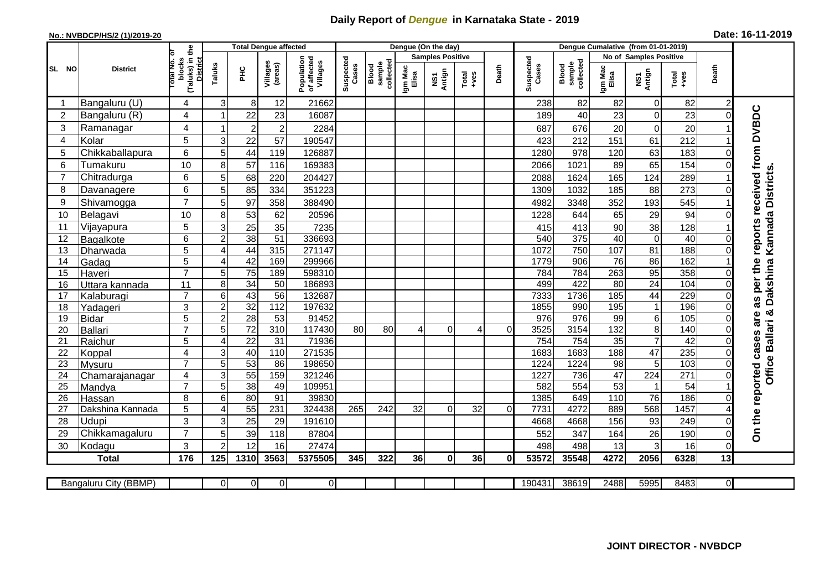## **Daily Report of** *Dengue* **in Karnataka State - 2019**

## **No.: NVBDCP/HS/2 (1)/2019-20 Date: 16-11-2019**

|                                                       |                       |                                                          |                         | <b>Total Dengue affected</b> |                     |                                       | Dengue (On the day) |                              |                  |                         |                 |          |                    |                              |                  |                 |                               |          |                                        |
|-------------------------------------------------------|-----------------------|----------------------------------------------------------|-------------------------|------------------------------|---------------------|---------------------------------------|---------------------|------------------------------|------------------|-------------------------|-----------------|----------|--------------------|------------------------------|------------------|-----------------|-------------------------------|----------|----------------------------------------|
|                                                       | <b>District</b>       |                                                          |                         |                              |                     |                                       |                     |                              |                  | <b>Samples Positive</b> |                 |          |                    |                              |                  |                 | <b>No of Samples Positive</b> |          |                                        |
| SL NO                                                 |                       | (Taluks) in the<br>blocks<br><b>District</b><br>otal No. | Taluks                  | <b>PHC</b>                   | Villages<br>(areas) | Population<br>of affected<br>Villages | Suspected<br>Cases  | collected<br>sample<br>Blood | Igm Mac<br>Elisa | Antign<br>Σ             | Total<br>+ves   | Death    | Suspected<br>Cases | collected<br>sample<br>Blood | Igm Mac<br>Elisa | NS1<br>Antign   | Total<br>+ves                 | Death    |                                        |
| -1                                                    | Bangaluru (U)         | 4                                                        | 3                       | 8                            | 12                  | 21662                                 |                     |                              |                  |                         |                 |          | 238                | 82                           | 82               | $\mathbf 0$     | 82                            |          |                                        |
| $\overline{2}$                                        | Bangaluru (R)         | 4                                                        | 1                       | 22                           | 23                  | 16087                                 |                     |                              |                  |                         |                 |          | 189                | 40                           | 23               | $\mathbf 0$     | 23                            | $\Omega$ |                                        |
| 3                                                     | Ramanagar             | 4                                                        | 1                       | $\overline{\mathbf{c}}$      | $\overline{2}$      | 2284                                  |                     |                              |                  |                         |                 |          | 687                | 676                          | 20               | $\mathbf 0$     | 20                            |          | as per the reports received from DVBDC |
| $\overline{4}$                                        | Kolar                 | 5                                                        | 3                       | 22                           | 57                  | 190547                                |                     |                              |                  |                         |                 |          | 423                | 212                          | 151              | 61              | 212                           |          |                                        |
| 5                                                     | Chikkaballapura       | $6\phantom{1}$                                           | 5                       | 44                           | 119                 | 126887                                |                     |                              |                  |                         |                 |          | 1280               | 978                          | 120              | 63              | 183                           |          |                                        |
| 6                                                     | Tumakuru              | 10                                                       | 8                       | 57                           | 116                 | 169383                                |                     |                              |                  |                         |                 |          | 2066               | 1021                         | 89               | 65              | 154                           |          |                                        |
| $\overline{7}$                                        | Chitradurga           | 6                                                        | 5                       | 68                           | 220                 | 204427                                |                     |                              |                  |                         |                 |          | 2088               | 1624                         | 165              | 124             | 289                           |          |                                        |
| 8                                                     | Davanagere            | 6                                                        | 5                       | 85                           | 334                 | 351223                                |                     |                              |                  |                         |                 |          | 1309               | 1032                         | 185              | 88              | 273                           |          |                                        |
| 9                                                     | Shivamogga            | $\overline{7}$                                           | 5                       | 97                           | 358                 | 388490                                |                     |                              |                  |                         |                 |          | 4982               | 3348                         | 352              | 193             | 545                           |          | Kannada Districts.                     |
| 10                                                    | Belagavi              | 10                                                       | 8                       | 53                           | 62                  | 20596                                 |                     |                              |                  |                         |                 |          | 1228               | 644                          | 65               | 29              | 94                            |          |                                        |
| 11                                                    | Vijayapura            | 5                                                        | 3                       | 25                           | 35                  | 7235                                  |                     |                              |                  |                         |                 |          | 415                | 413                          | 90               | 38              | 128                           |          |                                        |
| 12                                                    | Bagalkote             | 6                                                        | $\overline{c}$          | 38                           | $\overline{51}$     | 336693                                |                     |                              |                  |                         |                 |          | 540                | $\overline{375}$             | 40               | $\mathbf 0$     | 40                            |          |                                        |
| 13                                                    | Dharwada              | 5                                                        | $\overline{4}$          | 44                           | 315                 | 271147                                |                     |                              |                  |                         |                 |          | 1072               | 750                          | 107              | $\overline{81}$ | 188                           |          |                                        |
| 14                                                    | Gadag                 | $\overline{5}$                                           | 4                       | 42                           | 169                 | 299966                                |                     |                              |                  |                         |                 |          | 1779               | 906                          | 76               | 86              | 162                           |          |                                        |
| 15                                                    | Haveri                | $\overline{7}$                                           | 5                       | $\overline{75}$              | 189                 | 598310                                |                     |                              |                  |                         |                 |          | 784                | 784                          | 263              | 95              | 358                           |          |                                        |
| 16                                                    | Uttara kannada        | 11                                                       | 8                       | 34                           | 50                  | 186893                                |                     |                              |                  |                         |                 |          | 499                | 422                          | $\overline{80}$  | $\overline{24}$ | 104                           |          | Dakshina                               |
| 17                                                    | Kalaburagi            | $\overline{7}$                                           | 6                       | 43                           | $\overline{56}$     | 132687                                |                     |                              |                  |                         |                 |          | 7333               | 1736                         | 185              | 44              | 229                           |          |                                        |
| 18                                                    | Yadageri              | 3                                                        | $\mathbf 2$             | 32                           | 112                 | 197632                                |                     |                              |                  |                         |                 |          | 1855               | 990                          | 195              | $\overline{1}$  | 196                           |          | ఱ                                      |
| 19                                                    | <b>Bidar</b>          | 5                                                        | $\mathbf 2$             | $\overline{28}$              | 53                  | 91452                                 |                     |                              |                  |                         |                 |          | 976                | 976                          | 99               | $\,6$           | 105                           |          | are                                    |
| 20                                                    | <b>Ballari</b>        | $\overline{7}$                                           | 5                       | $\overline{72}$              | 310                 | 117430                                | 80                  | 80                           | 4                | $\Omega$                | 4               | $\Omega$ | 3525               | 3154                         | 132              | 8               | 140                           |          |                                        |
| 21                                                    | Raichur               | 5                                                        | $\overline{\mathbf{4}}$ | 22                           | 31                  | 71936                                 |                     |                              |                  |                         |                 |          | 754                | 754                          | 35               |                 | 42                            |          | Ballari                                |
| 22                                                    | Koppal                | 4                                                        | 3                       | 40                           | 110                 | 271535                                |                     |                              |                  |                         |                 |          | 1683               | 1683                         | 188              | $\overline{47}$ | 235                           | 0        |                                        |
| 23                                                    | <b>Mysuru</b>         | $\overline{7}$                                           | 5                       | 53                           | 86                  | 198650                                |                     |                              |                  |                         |                 |          | 1224               | 1224                         | 98               | 5               | 103                           | $\Omega$ | <b>Office</b>                          |
| 24                                                    | Chamarajanagar        | 4                                                        | 3                       | 55                           | 159                 | 321246                                |                     |                              |                  |                         |                 |          | 1227               | 736                          | 47               | 224             | 271                           | $\Omega$ |                                        |
| 25                                                    | Mandya                | $\overline{7}$                                           | 5                       | $\overline{38}$              | 49                  | 109951                                |                     |                              |                  |                         |                 |          | 582                | 554                          | $\overline{53}$  | -1              | 54                            |          |                                        |
| 26                                                    | Hassan                | 8                                                        | 6                       | 80                           | 91                  | 39830                                 |                     |                              |                  |                         |                 |          | 1385               | 649                          | 110              | 76              | 186                           |          |                                        |
| 27                                                    | Dakshina Kannada      | 5                                                        | $\overline{4}$          | $\overline{55}$              | 231                 | 324438                                | 265                 | 242                          | 32               | $\Omega$                | $\overline{32}$ | ΩI       | 7731               | 4272                         | 889              | 568             | 1457                          |          |                                        |
| 28                                                    | Udupi                 | 3                                                        | 3                       | 25                           | 29                  | 191610                                |                     |                              |                  |                         |                 |          | 4668               | 4668                         | 156              | 93              | 249                           |          | On the reported cases                  |
| 29                                                    | Chikkamagaluru        | $\overline{7}$                                           | 5                       | 39                           | 118                 | 87804                                 |                     |                              |                  |                         |                 |          | 552                | 347                          | 164              | 26              | 190                           |          |                                        |
| 30                                                    | Kodagu                | 3                                                        | $\overline{2}$          | 12                           | 16                  | 27474                                 |                     |                              |                  |                         |                 |          | 498                | 498                          | 13               | 3               | 16                            | 0        |                                        |
| 176<br>125<br>1310<br>3563<br>5375505<br><b>Total</b> |                       |                                                          |                         |                              | 345                 | 322                                   | 36                  | 0                            | 36               | 0                       | 53572           | 35548    | 4272               | 2056                         | 6328             | 13              |                               |          |                                        |
|                                                       | Bangaluru City (BBMP) |                                                          | $\overline{0}$          | $\overline{0}$               | $\Omega$            | $\overline{O}$                        |                     |                              |                  |                         |                 |          | 190431             | 38619                        | 2488             | 5995            | 8483                          | 0I       |                                        |